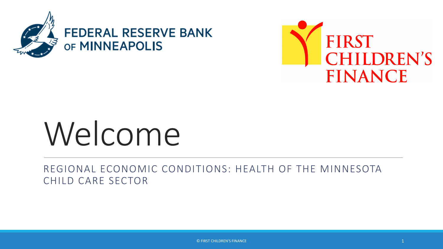



# Welcome

REGIONAL ECONOMIC CONDITIONS: HEALTH OF THE MINNESOTA CHILD CARE SECTOR

© FIRST CHILDREN'S FINANCE 1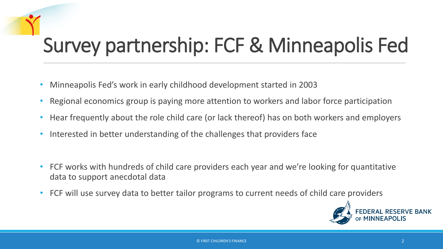## Survey partnership: FCF & Minneapolis Fed

- Minneapolis Fed's work in early childhood development started in 2003
- Regional economics group is paying more attention to workers and labor force participation
- Hear frequently about the role child care (or lack thereof) has on both workers and employers
- Interested in better understanding of the challenges that providers face
- FCF works with hundreds of child care providers each year and we're looking for quantitative data to support anecdotal data
- FCF will use survey data to better tailor programs to current needs of child care providers

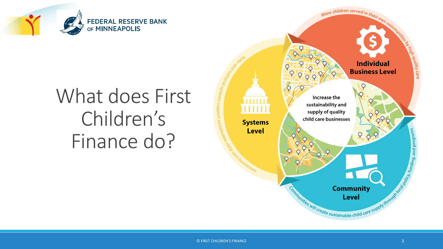

## What does First Children's Finance do?

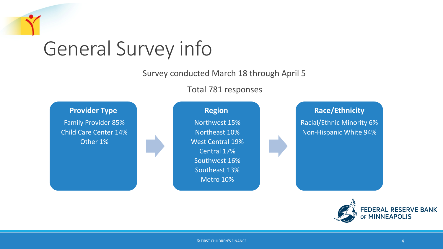# General Survey info

Survey conducted March 18 through April 5

Total 781 responses



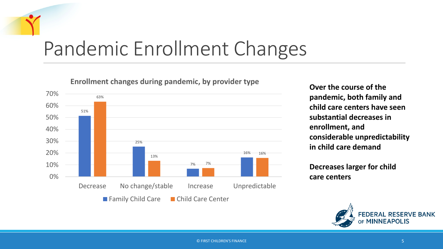### Pandemic Enrollment Changes

63% 13% 7% 16% 51% 25% 7% 16% 0% 10% 20% 30% 40% 50% 60% 70% Decrease No change/stable Increase Unpredictable ■ Family Child Care ■ Child Care Center

**Enrollment changes during pandemic, by provider type**

**Over the course of the pandemic, both family and child care centers have seen substantial decreases in enrollment, and considerable unpredictability in child care demand**

**Decreases larger for child care centers**

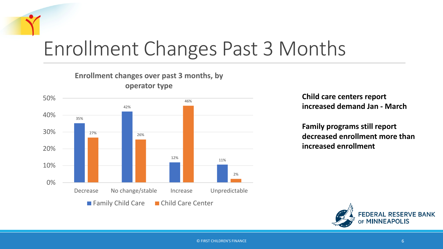### Enrollment Changes Past 3 Months



**Enrollment changes over past 3 months, by** 

**Child care centers report increased demand Jan - March**

**Family programs still report decreased enrollment more than increased enrollment**



© FIRST CHILDREN'S FINANCE 6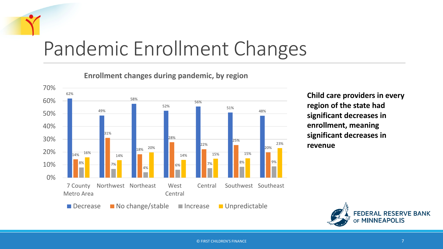### Pandemic Enrollment Changes

**Enrollment changes during pandemic, by region**



**Child care providers in every region of the state had significant decreases in enrollment, meaning significant decreases in revenue**

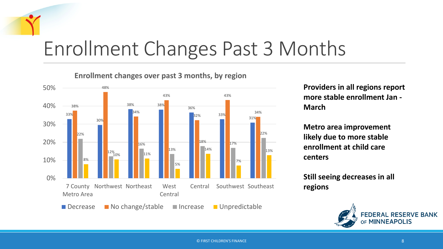### Enrollment Changes Past 3 Months

**Enrollment changes over past 3 months, by region**



**Providers in all regions report more stable enrollment Jan - March**

**Metro area improvement likely due to more stable enrollment at child care centers**

**Still seeing decreases in all regions**

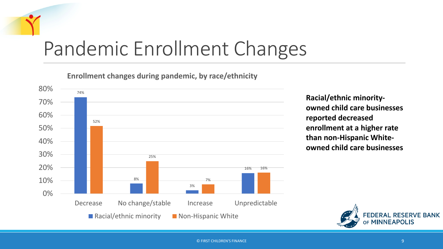### Pandemic Enrollment Changes

**Enrollment changes during pandemic, by race/ethnicity**



**Racial/ethnic minorityowned child care businesses reported decreased enrollment at a higher rate than non-Hispanic Whiteowned child care businesses**

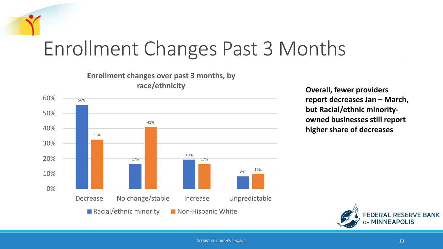### Enrollment Changes Past 3 Months



**Overall, fewer providers report decreases Jan – March, but Racial/ethnic minorityowned businesses still report higher share of decreases**

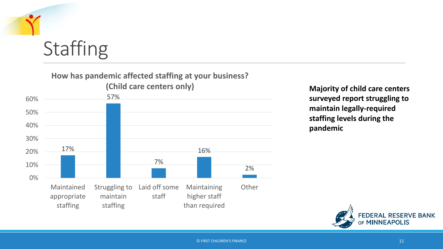

### **Staffing**

#### **How has pandemic affected staffing at your business?**



**surveyed report struggling to maintain legally-required staffing levels during the pandemic**

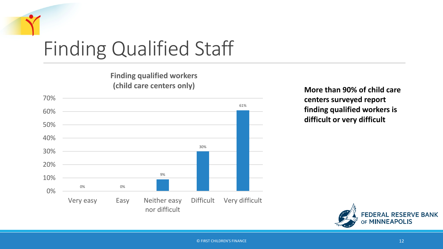

**Finding qualified workers (child care centers only)**



**More than 90% of child care centers surveyed report finding qualified workers is difficult or very difficult** 

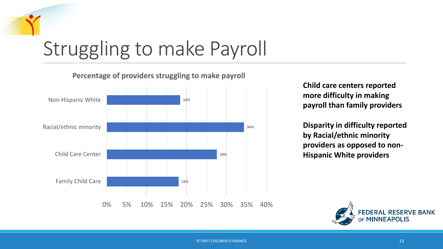

**Percentage of providers struggling to make payroll**



**Child care centers reported more difficulty in making payroll than family providers** 

**Disparity in difficulty reported by Racial/ethnic minority providers as opposed to non-Hispanic White providers**

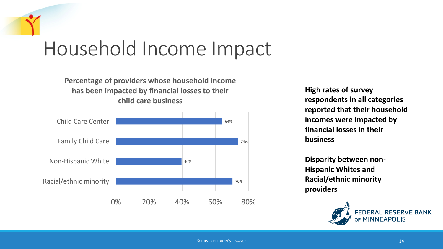### Household Income Impact

#### **Percentage of providers whose household income has been impacted by financial losses to their child care business**



**High rates of survey respondents in all categories reported that their household incomes were impacted by financial losses in their business** 

**Disparity between non-Hispanic Whites and Racial/ethnic minority providers**

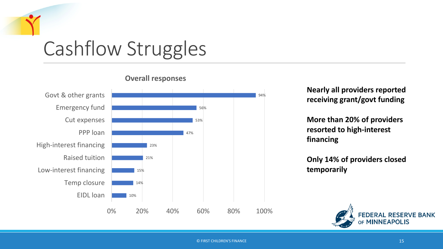



#### **Overall responses**

**Nearly all providers reported receiving grant/govt funding**

**More than 20% of providers resorted to high-interest financing**

**Only 14% of providers closed temporarily**

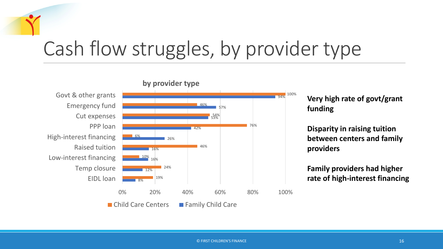### Cash flow struggles, by provider type



**Very high rate of govt/grant funding**

**Disparity in raising tuition between centers and family providers**

**Family providers had higher**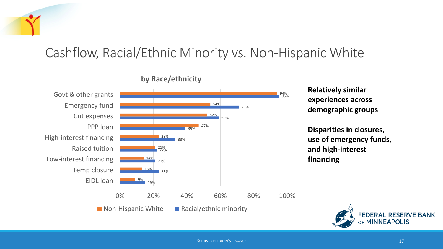### Cashflow, Racial/Ethnic Minority vs. Non-Hispanic White



#### **by Race/ethnicity**

#### **Relatively similar experiences across demographic groups**

**Disparities in closures, use of emergency funds, and high-interest financing**

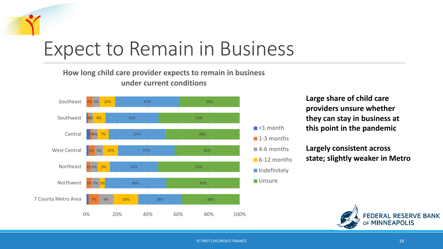## Expect to Remain in Business

#### **How long child care provider expects to remain in business under current conditions**



**Large share of child care providers unsure whether they can stay in business at this point in the pandemic**

**Largely consistent across state; slightly weaker in Metro**

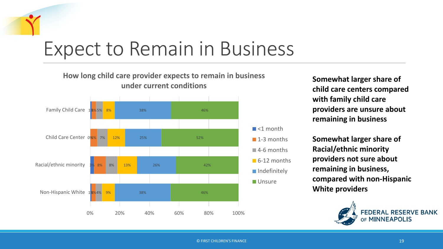## Expect to Remain in Business



**Somewhat larger share of child care centers compared with family child care providers are unsure about remaining in business**

**Somewhat larger share of Racial/ethnic minority providers not sure about remaining in business, compared with non-Hispanic White providers**